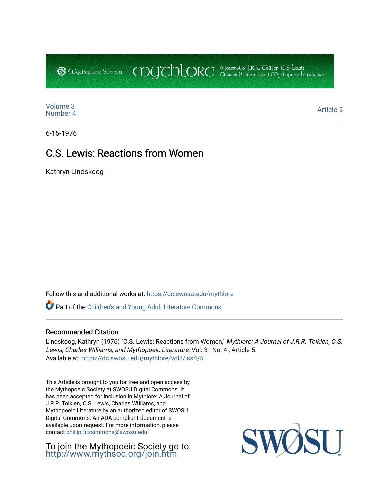CDUCHLORE A Journal of J.R.R. Coltien, C.S. Lewis,<br>CDUCHLORE Charles Williams, and Obyethopoeic Literacure **@** Mychopoeic Sociecy

[Volume 3](https://dc.swosu.edu/mythlore/vol3) [Number 4](https://dc.swosu.edu/mythlore/vol3/iss4) Article 5<br>Number 4

6-15-1976

# C.S. Lewis: Reactions from Women

Kathryn Lindskoog

Follow this and additional works at: [https://dc.swosu.edu/mythlore](https://dc.swosu.edu/mythlore?utm_source=dc.swosu.edu%2Fmythlore%2Fvol3%2Fiss4%2F5&utm_medium=PDF&utm_campaign=PDFCoverPages) 

Part of the [Children's and Young Adult Literature Commons](http://network.bepress.com/hgg/discipline/1289?utm_source=dc.swosu.edu%2Fmythlore%2Fvol3%2Fiss4%2F5&utm_medium=PDF&utm_campaign=PDFCoverPages) 

### Recommended Citation

Lindskoog, Kathryn (1976) "C.S. Lewis: Reactions from Women," Mythlore: A Journal of J.R.R. Tolkien, C.S. Lewis, Charles Williams, and Mythopoeic Literature: Vol. 3 : No. 4 , Article 5. Available at: [https://dc.swosu.edu/mythlore/vol3/iss4/5](https://dc.swosu.edu/mythlore/vol3/iss4/5?utm_source=dc.swosu.edu%2Fmythlore%2Fvol3%2Fiss4%2F5&utm_medium=PDF&utm_campaign=PDFCoverPages)

This Article is brought to you for free and open access by the Mythopoeic Society at SWOSU Digital Commons. It has been accepted for inclusion in Mythlore: A Journal of J.R.R. Tolkien, C.S. Lewis, Charles Williams, and Mythopoeic Literature by an authorized editor of SWOSU Digital Commons. An ADA compliant document is available upon request. For more information, please contact [phillip.fitzsimmons@swosu.edu.](mailto:phillip.fitzsimmons@swosu.edu)

To join the Mythopoeic Society go to: <http://www.mythsoc.org/join.htm>

SU SWO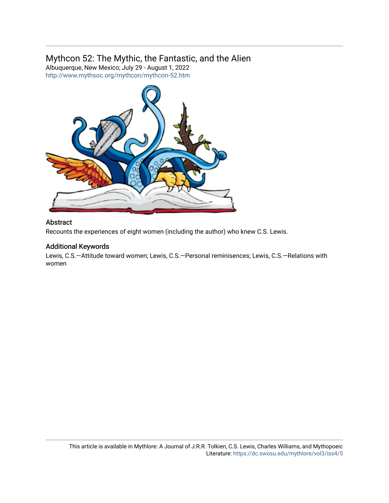# Mythcon 52: The Mythic, the Fantastic, and the Alien

Albuquerque, New Mexico; July 29 - August 1, 2022 <http://www.mythsoc.org/mythcon/mythcon-52.htm>



## Abstract

Recounts the experiences of eight women (including the author) who knew C.S. Lewis.

### Additional Keywords

Lewis, C.S.—Attitude toward women; Lewis, C.S.—Personal reminisences; Lewis, C.S.—Relations with women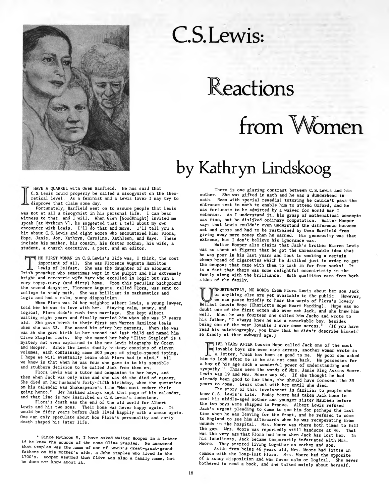

# C.S. Lewis:

# Reactions from Women

# by Kathryn Lindskoog

HAVE A QUARREL with Owen Barfield. He has said that **C. S. Lewis could properly be called a misogynist on the theo**retical level. As a feminist and a Lewis lover I may try to disprove that claim some day.

Fortunately, Barfield went on to assure people that Lewis was not at all a misogynist in his personal life. I can bear witness to that, and I will. When Glen [GoodKnight] invited me speak [at Mythcon V], he suggested that I tell about my own encounter with Lewis. I'll do that and more. I'll tell you a bit about C.S. Lewis and eight women who encountered him: Flora, Hope, Janie, Joy, Kathryn, Caroline, Kathleen, and Kaye. These include his mother, his cousin, his foster mother, his wife, a student, a church executive, a poet, and an editor.

**T** HE FIRST WOMAN in C.S. Lewis's life was, I think, the most important of all. She was Florence Augusta Hamilton<br>Lewis of Belfast. She was the daughter of an eloquent Irish preacher who sometimes wept in the pulpit and his extremely bright and eccentric wife Mary who excelled in logic but ran a very topsy-turvy (and dirty) home. From this peculiar background<br>the second daughter, Florence Augusta, called Flora, was sent to college to study math. She was brilliant in mathematics and logic and had a calm, sunny disposition

**When F lo ra was 24 her neigh b or A lb e r t L ew is, a young law yer,** told her he was in love with her. Staying calm, sunny, and logical, Flora didn't rush into marriage. She kept Albert<br>waiting eight years and finally married him when she was 32 years old. She gave birth to their first son Warren Hamilton Lewis when she was 33. She named him after her parents. When she was was 36 she gave birth to her second and last child and named him Clive Staples Lewis. Why she named her baby "Clive Staples" is a mystery not even explained in the new Lewis biography by Green and Hooper. Since the Lewis family history consists of eleven volumes, each containing some 300 pages of single-spaced typing, I hope we will eventually learn what Flora had in mind.\* All we know is that when he was four she gave in to his sensible and stubborn decision to be called Jack from then on.

Flora Lewis was a tutor and companion to her boys, and then when Jack was only nine and she was 46 she died of cancer. She died on her husband's forty-fifth birthday, when the quotation on his calendar was Shakespeare's line "Men must endure their going hence." Her husband always kept that page of his calendar. and that line is now inscribed on C.S. Lewis's tombstone.

Flora's death was the end of the old world for Albert Lewis and his two sons. Their home was never happy again. It would be fifty years before Jack lived happily with a woman again. One can only speculate about how Flora's personality and early death shaped his later life.

\* Since Mythcon V, I have asked Walter Hooper in a letter if he knew the source of the name Clive Staples. He answered that Staples was the name of one of Lewis's great-great-grandfathers on his mother's side, a John Staples who lived in the 1700's. Hooper assumed that Clive was also a family name, but he does not know about it.

There is one glaring contrast between C.S. Lewis and his mother. She was gifted in math and he was a dunderhead in math. Even with special remedial tutoring he couldn't pass the entrance test in math to enable him to attend Oxford, and he was fortunate to be admitted by a waiver for World War I veterans. As I understand it, his grasp of mathematical concepts was fine, but he disliked ordinary computation. Walter Hooper says that Lewis couldn't even understand the difference between net and gross and had to be restrained by Owen Barfield from giving away more money than he earned. His generosity was that extreme, but I don't believe his ignorance was.

Walter Hooper also claims that Jack's brother Warren Lewis was so inept at figures that he got the unreasonable idea that he was poor in his last years and took to smoking a certain cheap brand of cigarettes which he disliked just in order to get the coupons that came with them to cash in for free socks! It is a fact that there was some delightful eccentricity in the family along with the brilliance. Both qualities came from both sides of the family.

**NFORTUNATELY, NO WORDS from Flora Lewis about her son Jack** or anything else are yet available to the public. However, we can pause briefly to hear the words of Flora's lovely Belfast cousin Hope (Charlotte Hope Ewart Harding). Hope was no<br>doubt one of the first women who ever met Jack, and she knew him well. When he was fourteen she called him Jacko and wrote to his father, "I always knew he was a remarkable boy, besides<br>being one of the most lovable I ever came across." (If you have being one of the most lovable I ever came across." (If you have read his autobiography, you know that he didn't describe himself so kindly at that awkward age.)

**FIVE YEARS AFTER Cousin Hope called Jack one of the most lovable boys she ever came across, another woman wrote in a l e t t e r , "Jack has been so good to me. My poor son asked** him to look after me if he did not come back. He possesses for a boy of his age such a wonderful power of understanding and sympathy." Those were the words of Mrs. Janie King Askins Moore.<br>Lewis was 19 and Mrs. Moore was 46. If she thought he had<br>already been good to her then, she should have foreseen the 33<br>years to come. Lewis stuck with her

The story of this involvement is familiar to people who know C.S. Lewis's life. Paddy Moore had taken Jack home to meet his middle-aged mother and younger sister Maureen before the two boys were shipped to France. Albert Lewis refused due the says here supplied to come to see him for perhaps the last time when he was leaving for the front, and he refused to come to England to see him afterwards when he was recuperating from wounds in the hospital. Mrs. Moore was there both times to fill the gap. Mrs. Moore was reportedly still handsome at 46. That was the very age that Flora had been when Jack has lost her. In his loneliness, Jack became temporarily infatuated with Mrs. Moore. They started living together as mother and son.

Aside from being 46 years old, Mrs. Moore had little in common with the long-lost Flora. Mrs. Moore had the opposite<br>of a sunny disposition and was never calm or logical, She never bothered to read a book, and she talked mainly about herself.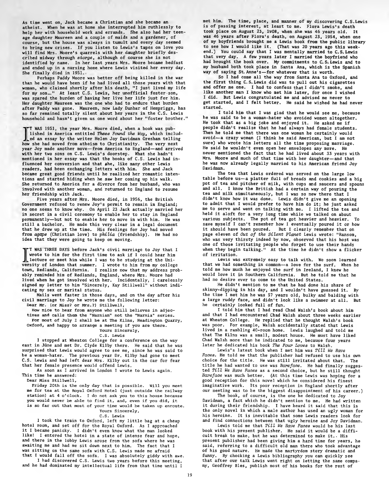As time went on, Jack became a Christian and she became an atheist. When he was at home she interrupted him ruthlessly to help her with household work and errands. She also had her teenage daughter Maureen and a couple of maids and a gardener, of course, but the house was always in tumult and every day seemed to bring new crises. If you listen to Lewis's tapes on love you will find Mrs. Moore's quarrels with her daughter briefly described midway through *storge*, although of course she is not identified by name. In her last years Mrs. Moore became bedfast and ended up in a nursing home where Lewis visited her every day. She finally died in 1951.

Perhaps Paddy Moore was better off being killed in the war than he would have been if he had lived all those years with that **woman, who claimed shortly after his death, "I just lived my life** for my son..." At least C.S. Lewis, her unofficial foster-son,<br>was spared the burden of having her live her life just for him. Her daughter Maureen was the one who had to endure that burden after Paddy was gone. Maureen, now Lady Dunbar of Hempriggs, has so far remained totally silent about her years in the C.S. Lewis household and hasn't given us one word about her "foster brother."

T WAS 1951, the year Mrs. Moore died, when a book was published in America entitled *These Found the Way*, which included an essay by the writer Helen Joy Davidman Gresham telling how she had moved from atheism to Christianity. The very next year Joy made another move—from America to England—and arrived with her two sons on C.S. Lewis's doorstep. What she hadn't mentioned in her essay was that the books of C.S. Lewis had influenced her conversion and that she, like many other Lewis readers, had been exchanging letters with him. She and Jack became great good friends until he realized her romantic intentions and started hiding when he saw her coming up his walk. She returned to America for a divorce from her husband, who was involved with another woman, and returned to England to resume her friendship with Jack.

Five years after Mrs. Moore died, in 1956, the British Government refused to renew Joy's permit to remain in England; no one seems to know why. On April 23 Jack actually married her in secret in a civil ceremony to enable her to stay in England permanently—but not to enable her to move in with him. He was still a bachelor. He made this very clear in a legal document that he drew up at the time. His feelings for Joy had moved from *agape* (Christian love) to *philia* (friendship). He had no idea that they were going to keep on moving.

**IT WAS THREE DAYS before Jack's civil marriage to Joy that I** wrote to him for the first time to ask if I could hear him wrote to him for the first time to ask if I could hear him<br>lecture or meet him while I was to be studying at the University of London that summer. I wrote to him from my college town, Redlands, California. I realize now that my address probably reminded him of Redlands, England, where Mrs. Moore had lived when he got involved with her. Incidentally, I carelessly signed my letter to him "Sincerely, Kay Stillwell" without indicating my sex or marital status.

Mails went faster in those days, and on the day after his civil marriage to Joy he wrote me the following letter: Dear Mr. (or Miss? or Mrs.?) Stillwell,

How nice to hear from anyone who still believes in adjectives and calls them the "Narnian" not the "Narnia" series. For most of July I shall be at The Kilns, Headington Quarry, Oxford, and happy to arrange a meeting if you are there. Yours Sincerely,

#### **C .S. Lewis**

I stopped at Wheaton College for a conference on the way east in June and met Dr. Clyde Kilby there. He said that he was surprised that Lewis would agree to see me, since he was said to be a woman-hater. The previous year Dr. Kilby had gone to meet C.S. Lewis and had left dear Mrs. Kilby out in the car for fear that her female presence would offend Lewis.

As soon as I arrived in London I wrote to Lewis again. This time he answered:

Dear Miss Stillwell,

Friday 20th is the only day that is possible. Will you meet me for tea at the Royal Oxford Hotel (just outside the railway station) at 4 o'clock. I do not ask you to this house because you would never be able to find it, and, even if you did, it is so far out that most of your time would be taken up enroute. Yours Sincerely,

#### **C .S. Lewis**

I took the train to Oxford, left my little bag at a cheap hotel room, and set off for the Royal Oxford. As I approached it I became panicky. I didn't even know what the man looked like! I entered the hotel in a state of intense fear and hope, and there in the lobby Lewis arose from the sofa where he was awaiting me and had me sit down next to him. The fact that I was sitting on the same sofa with C.S. Lewis made me afraid that I would fall off the sofa. I was absolutely giddy with awe. I had discovered C.S. Lewis two years before this meeting,<br>4 and he had dominated my intellectual life from that time until

met him. The time, place, and manner of my discovering C.S. Lewis is of passing interest, at least to me. Flora Lewis's death took place on August 23, 1908, when she was 46 years old. It was 46 years after Flora's death, on August 23, 1954, when one of my boyfriends brought me a Lewis book from the public library to see how I would like it. (That was 20 years ago this weekend.) You could say that I was mentally married to C.S. Lewis that very day. A few years later I married the boyfriend who had brought the book over. My commitments to C.S. Lewis and to my husband both took place in Santa Ana, which is the Spanish way of saying St. Anne's-for whatever that is worth.

So I had come all the way from Santa Ana to Oxford, and the first thing C.S. Lewis did was to pull out his cigarettes and offer me one. I had to confess that I didn't smoke, and like another man I know who met him later, for once I wished I did. But Lewis congratulated me and advised me never to get started, and I felt better. He said he wished he had never **s t a r t e d .**

I told him that I was glad that he would see me, because he was said to be a woman-hater who avoided women altogether. He took that as a big joke and enjoyed it. He asked me if people didn't realize that he had always had female students. Then he told me that there was one woman he certainly would avoid-a crazy woman (I think he said American, but I am not sure) who wrote him letters all the time proposing marriage. He said he wouldn't even open her envelopes any more. He never mentioned the fact that he had lived about 33 years with Mrs. Moore and much of that time with her daughter-and that he was now already legally married to his American friend Joy **Davidman.**

The tea that Lewis ordered was served on the large low table before us-a platter full of breads and cookies and a big pot of tea and pitcher of milk, with cups and saucers and spoons and all. I know the British had a certain way of pouring the tea and milk simultaneously, but I was so new there that I didn't know how it was done. Lewis didn't give me an opening to admit that I would prefer to have him do it; he just asked me to serve and went on talking with me. I lifted the tea and held it aloft for a very long time while we talked on about<br>various subjects. The pot of tea got heavier and heavier. To save myself I can't remember how I eventually poured it or how it should have been poured. But I clearly remember that on<br>page eleven of *Out of the Silent Planet* Lewis wrote: "Ransom, who was very thirsty indeed by now, observed that his host was one of those irritating people who forget to use their hands<br>when they begin talking." At the time he didn't show a flicke**:** of irritation.

Lewis was extremely easy to talk with. We soon learned that we had something in common-a love for the surf. When he told me how much he enjoyed the surf in Ireland, I knew he would love it in Southern California. But he told me that he had no desire ever to come to the United States.

He didn't mention to me that he had done his share of skinny-dipping in his day, and I wouldn't have guessed it. By the time I met him he was 57 years old, bulky and balding with a large ruddy face, and didn't look like a swimmer at all. But he certainly looked full of fun.

I told him that I had read Chad Walsh's book about him and that I had encountered Chad Walsh about three weeks earlier at Wheaton College. He replied that he thought Walsh's book was poor. For example, Walsh accidentally stated that Lewis lived in a rambling 40-room home. Lewis laughed and told me that The Kilns was a small, modest house. He must have liked Chad Walsh more than he indicated to me, because four years later he dedicated his book *The Four Loves* to Walsh.

Lewis's latest book when I met him was *Till We Have* Faces. He told me that the publisher had refused to use his own choice for the title. He was still irritated about that. The title he had wanted to use was *Bareface*. He had finally suggested *Till We Have Faces* as a second choice, but he still thought *Bareface* was much better. (At this time Lewis was hoping for a good reception for this novel which he considered his finest imaginative work. Its poor reception in England shortly after our meeting was to be the biggest disappointment of his career.)

The book, of course, is the one he dedicated to Joy Davidman, a fact which he didn't mention to me. He had written it during their friendship. I have heard it said that this is<br>the only novel in which a male author has used an ugly woman for his heroine. It is inevitable that some Lewis readers look for and find connections between that ugly heroine and Joy Davidman.

Lewis told me that *Till We Have Faces* would be his last book with his present publisher. He said it would be a difficult break to make, but he was determined to make it. . His present publisher had been giving him a hard time for years, he said, referring to a difficult old man there who took advantage of his good nature. He made the martyrdom story dramatic and funny. By checking a Lewis bibliography you can quickly see that after our talk Lewis went right on letting the same company, Geoffrey Bles, publish most of his books for the rest of